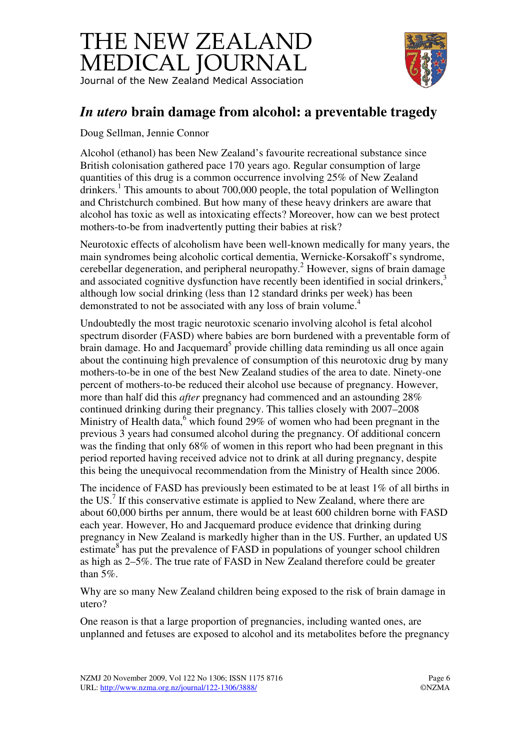## THE NEW ZEALAND MEDICAL JOURNAL Journal of the New Zealand Medical Association



## *In utero* **brain damage from alcohol: a preventable tragedy**

Doug Sellman, Jennie Connor

Alcohol (ethanol) has been New Zealand's favourite recreational substance since British colonisation gathered pace 170 years ago. Regular consumption of large quantities of this drug is a common occurrence involving 25% of New Zealand drinkers.<sup>1</sup> This amounts to about 700,000 people, the total population of Wellington and Christchurch combined. But how many of these heavy drinkers are aware that alcohol has toxic as well as intoxicating effects? Moreover, how can we best protect mothers-to-be from inadvertently putting their babies at risk?

Neurotoxic effects of alcoholism have been well-known medically for many years, the main syndromes being alcoholic cortical dementia, Wernicke-Korsakoff's syndrome, cerebellar degeneration, and peripheral neuropathy.<sup>2</sup> However, signs of brain damage and associated cognitive dysfunction have recently been identified in social drinkers,<sup>3</sup> although low social drinking (less than 12 standard drinks per week) has been demonstrated to not be associated with any loss of brain volume.<sup>4</sup>

Undoubtedly the most tragic neurotoxic scenario involving alcohol is fetal alcohol spectrum disorder (FASD) where babies are born burdened with a preventable form of brain damage. Ho and Jacquemard<sup>5</sup> provide chilling data reminding us all once again about the continuing high prevalence of consumption of this neurotoxic drug by many mothers-to-be in one of the best New Zealand studies of the area to date. Ninety-one percent of mothers-to-be reduced their alcohol use because of pregnancy. However, more than half did this *after* pregnancy had commenced and an astounding 28% continued drinking during their pregnancy. This tallies closely with 2007–2008 Ministry of Health data,  $6\$  which found 29% of women who had been pregnant in the previous 3 years had consumed alcohol during the pregnancy. Of additional concern was the finding that only 68% of women in this report who had been pregnant in this period reported having received advice not to drink at all during pregnancy, despite this being the unequivocal recommendation from the Ministry of Health since 2006.

The incidence of FASD has previously been estimated to be at least 1% of all births in the US.<sup>7</sup> If this conservative estimate is applied to New Zealand, where there are about 60,000 births per annum, there would be at least 600 children borne with FASD each year. However, Ho and Jacquemard produce evidence that drinking during pregnancy in New Zealand is markedly higher than in the US. Further, an updated US estimate<sup>8</sup> has put the prevalence of FASD in populations of younger school children as high as 2–5%. The true rate of FASD in New Zealand therefore could be greater than 5%.

Why are so many New Zealand children being exposed to the risk of brain damage in utero?

One reason is that a large proportion of pregnancies, including wanted ones, are unplanned and fetuses are exposed to alcohol and its metabolites before the pregnancy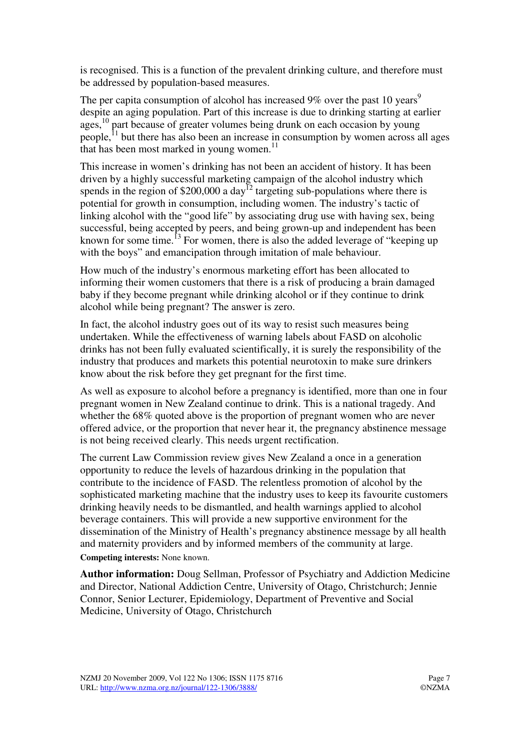is recognised. This is a function of the prevalent drinking culture, and therefore must be addressed by population-based measures.

The per capita consumption of alcohol has increased  $9\%$  over the past 10 years<sup>9</sup> despite an aging population. Part of this increase is due to drinking starting at earlier ages,<sup>10</sup> part because of greater volumes being drunk on each occasion by young people, $^{11}$  but there has also been an increase in consumption by women across all ages that has been most marked in young women.<sup>11</sup>

This increase in women's drinking has not been an accident of history. It has been driven by a highly successful marketing campaign of the alcohol industry which spends in the region of  $$200,000$  a day<sup>12</sup> targeting sub-populations where there is potential for growth in consumption, including women. The industry's tactic of linking alcohol with the "good life" by associating drug use with having sex, being successful, being accepted by peers, and being grown-up and independent has been known for some time.<sup>13</sup> For women, there is also the added leverage of "keeping up" with the boys" and emancipation through imitation of male behaviour.

How much of the industry's enormous marketing effort has been allocated to informing their women customers that there is a risk of producing a brain damaged baby if they become pregnant while drinking alcohol or if they continue to drink alcohol while being pregnant? The answer is zero.

In fact, the alcohol industry goes out of its way to resist such measures being undertaken. While the effectiveness of warning labels about FASD on alcoholic drinks has not been fully evaluated scientifically, it is surely the responsibility of the industry that produces and markets this potential neurotoxin to make sure drinkers know about the risk before they get pregnant for the first time.

As well as exposure to alcohol before a pregnancy is identified, more than one in four pregnant women in New Zealand continue to drink. This is a national tragedy. And whether the 68% quoted above is the proportion of pregnant women who are never offered advice, or the proportion that never hear it, the pregnancy abstinence message is not being received clearly. This needs urgent rectification.

The current Law Commission review gives New Zealand a once in a generation opportunity to reduce the levels of hazardous drinking in the population that contribute to the incidence of FASD. The relentless promotion of alcohol by the sophisticated marketing machine that the industry uses to keep its favourite customers drinking heavily needs to be dismantled, and health warnings applied to alcohol beverage containers. This will provide a new supportive environment for the dissemination of the Ministry of Health's pregnancy abstinence message by all health and maternity providers and by informed members of the community at large. **Competing interests:** None known.

**Author information:** Doug Sellman, Professor of Psychiatry and Addiction Medicine and Director, National Addiction Centre, University of Otago, Christchurch; Jennie Connor, Senior Lecturer, Epidemiology, Department of Preventive and Social Medicine, University of Otago, Christchurch